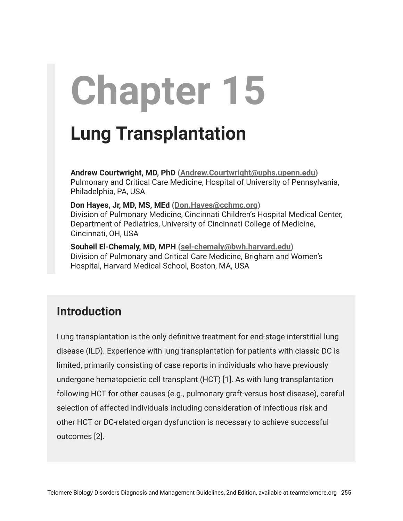# **Chapter 15**

## **Lung Transplantation**

**Andrew Courtwright, MD, PhD [\(Andrew.Courtwright@uphs.upenn.edu](mailto:Andrew.Courtwright@uphs.upenn.edu))** Pulmonary and Critical Care Medicine, Hospital of University of Pennsylvania, Philadelphia, PA, USA

**Don Hayes, Jr, MD, MS, MEd ([Don.Hayes@cchmc.org\)](mailto:Don.Hayes@cchmc.org)** Division of Pulmonary Medicine, Cincinnati Children's Hospital Medical Center, Department of Pediatrics, University of Cincinnati College of Medicine, Cincinnati, OH, USA

**Souheil El-Chemaly, MD, MPH [\(sel-chemaly@bwh.harvard.edu\)](mailto:sel-chemaly@bwh.harvard.edu)** Division of Pulmonary and Critical Care Medicine, Brigham and Women's Hospital, Harvard Medical School, Boston, MA, USA

### **Introduction**

Lung transplantation is the only definitive treatment for end-stage interstitial lung disease (ILD). Experience with lung transplantation for patients with classic DC is limited, primarily consisting of case reports in individuals who have previously undergone hematopoietic cell transplant (HCT) [1]. As with lung transplantation following HCT for other causes (e.g., pulmonary graft-versus host disease), careful selection of affected individuals including consideration of infectious risk and other HCT or DC-related organ dysfunction is necessary to achieve successful outcomes [2].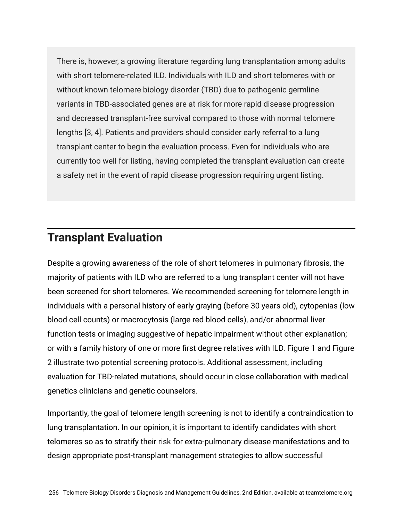There is, however, a growing literature regarding lung transplantation among adults with short telomere-related ILD. Individuals with ILD and short telomeres with or without known telomere biology disorder (TBD) due to pathogenic germline variants in TBD-associated genes are at risk for more rapid disease progression and decreased transplant-free survival compared to those with normal telomere lengths [3, 4]. Patients and providers should consider early referral to a lung transplant center to begin the evaluation process. Even for individuals who are currently too well for listing, having completed the transplant evaluation can create a safety net in the event of rapid disease progression requiring urgent listing.

#### **Transplant Evaluation**

Despite a growing awareness of the role of short telomeres in pulmonary fibrosis, the majority of patients with ILD who are referred to a lung transplant center will not have been screened for short telomeres. We recommended screening for telomere length in individuals with a personal history of early graying (before 30 years old), cytopenias (low blood cell counts) or macrocytosis (large red blood cells), and/or abnormal liver function tests or imaging suggestive of hepatic impairment without other explanation; or with a family history of one or more first degree relatives with ILD. Figure 1 and Figure 2 illustrate two potential screening protocols. Additional assessment, including evaluation for TBD-related mutations, should occur in close collaboration with medical genetics clinicians and genetic counselors.

Importantly, the goal of telomere length screening is not to identify a contraindication to lung transplantation. In our opinion, it is important to identify candidates with short telomeres so as to stratify their risk for extra-pulmonary disease manifestations and to design appropriate post-transplant management strategies to allow successful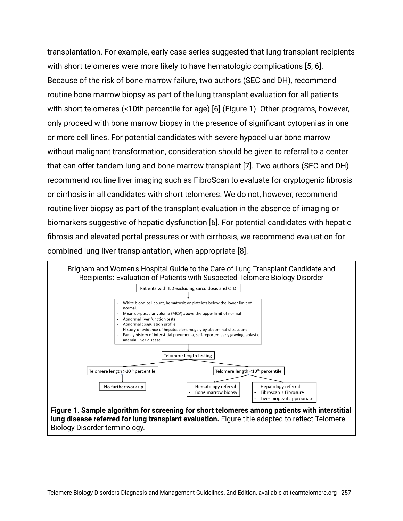transplantation. For example, early case series suggested that lung transplant recipients with short telomeres were more likely to have hematologic complications [5, 6]. Because of the risk of bone marrow failure, two authors (SEC and DH), recommend routine bone marrow biopsy as part of the lung transplant evaluation for all patients with short telomeres (<10th percentile for age) [6] (Figure 1). Other programs, however, only proceed with bone marrow biopsy in the presence of significant cytopenias in one or more cell lines. For potential candidates with severe hypocellular bone marrow without malignant transformation, consideration should be given to referral to a center that can offer tandem lung and bone marrow transplant [7]. Two authors (SEC and DH) recommend routine liver imaging such as FibroScan to evaluate for cryptogenic fibrosis or cirrhosis in all candidates with short telomeres. We do not, however, recommend routine liver biopsy as part of the transplant evaluation in the absence of imaging or biomarkers suggestive of hepatic dysfunction [6]. For potential candidates with hepatic fibrosis and elevated portal pressures or with cirrhosis, we recommend evaluation for combined lung-liver transplantation, when appropriate [8].

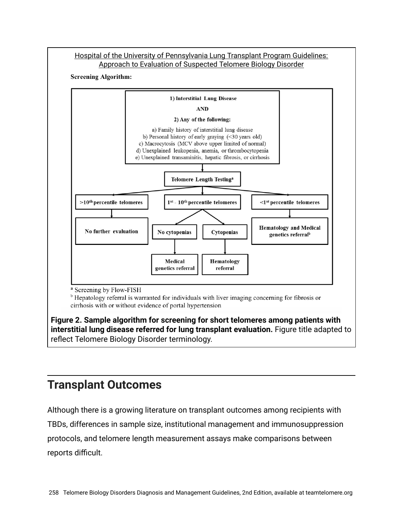

#### **Transplant Outcomes**

Although there is a growing literature on transplant outcomes among recipients with TBDs, differences in sample size, institutional management and immunosuppression protocols, and telomere length measurement assays make comparisons between reports difficult.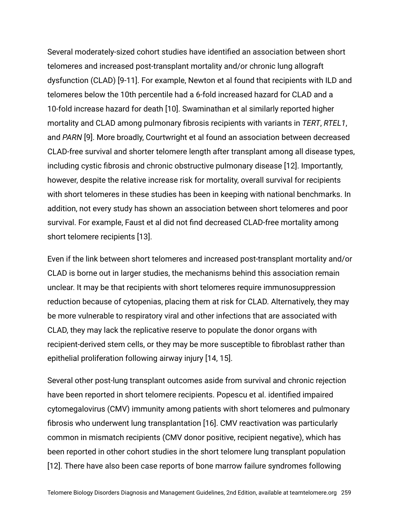Several moderately-sized cohort studies have identified an association between short telomeres and increased post-transplant mortality and/or chronic lung allograft dysfunction (CLAD) [9-11]. For example, Newton et al found that recipients with ILD and telomeres below the 10th percentile had a 6-fold increased hazard for CLAD and a 10-fold increase hazard for death [10]. Swaminathan et al similarly reported higher mortality and CLAD among pulmonary fibrosis recipients with variants in *TERT*, *RTEL1*, and *PARN* [9]. More broadly, Courtwright et al found an association between decreased CLAD-free survival and shorter telomere length after transplant among all disease types, including cystic fibrosis and chronic obstructive pulmonary disease [12]. Importantly, however, despite the relative increase risk for mortality, overall survival for recipients with short telomeres in these studies has been in keeping with national benchmarks. In addition, not every study has shown an association between short telomeres and poor survival. For example, Faust et al did not find decreased CLAD-free mortality among short telomere recipients [13].

Even if the link between short telomeres and increased post-transplant mortality and/or CLAD is borne out in larger studies, the mechanisms behind this association remain unclear. It may be that recipients with short telomeres require immunosuppression reduction because of cytopenias, placing them at risk for CLAD. Alternatively, they may be more vulnerable to respiratory viral and other infections that are associated with CLAD, they may lack the replicative reserve to populate the donor organs with recipient-derived stem cells, or they may be more susceptible to fibroblast rather than epithelial proliferation following airway injury [14, 15].

Several other post-lung transplant outcomes aside from survival and chronic rejection have been reported in short telomere recipients. Popescu et al. identified impaired cytomegalovirus (CMV) immunity among patients with short telomeres and pulmonary fibrosis who underwent lung transplantation [16]. CMV reactivation was particularly common in mismatch recipients (CMV donor positive, recipient negative), which has been reported in other cohort studies in the short telomere lung transplant population [12]. There have also been case reports of bone marrow failure syndromes following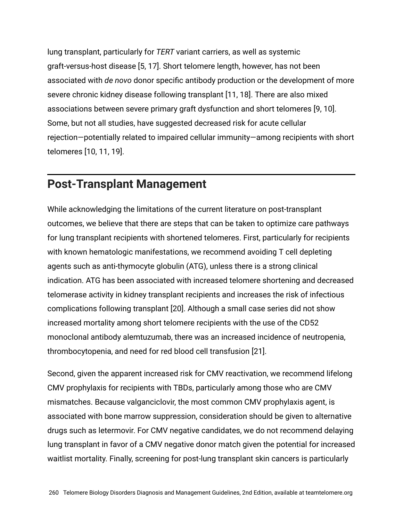lung transplant, particularly for *TERT* variant carriers, as well as systemic graft-versus-host disease [5, 17]. Short telomere length, however, has not been associated with *de novo* donor specific antibody production or the development of more severe chronic kidney disease following transplant [11, 18]. There are also mixed associations between severe primary graft dysfunction and short telomeres [9, 10]. Some, but not all studies, have suggested decreased risk for acute cellular rejection—potentially related to impaired cellular immunity—among recipients with short telomeres [10, 11, 19].

#### **Post-Transplant Management**

While acknowledging the limitations of the current literature on post-transplant outcomes, we believe that there are steps that can be taken to optimize care pathways for lung transplant recipients with shortened telomeres. First, particularly for recipients with known hematologic manifestations, we recommend avoiding T cell depleting agents such as anti-thymocyte globulin (ATG), unless there is a strong clinical indication. ATG has been associated with increased telomere shortening and decreased telomerase activity in kidney transplant recipients and increases the risk of infectious complications following transplant [20]. Although a small case series did not show increased mortality among short telomere recipients with the use of the CD52 monoclonal antibody alemtuzumab, there was an increased incidence of neutropenia, thrombocytopenia, and need for red blood cell transfusion [21].

Second, given the apparent increased risk for CMV reactivation, we recommend lifelong CMV prophylaxis for recipients with TBDs, particularly among those who are CMV mismatches. Because valganciclovir, the most common CMV prophylaxis agent, is associated with bone marrow suppression, consideration should be given to alternative drugs such as letermovir. For CMV negative candidates, we do not recommend delaying lung transplant in favor of a CMV negative donor match given the potential for increased waitlist mortality. Finally, screening for post-lung transplant skin cancers is particularly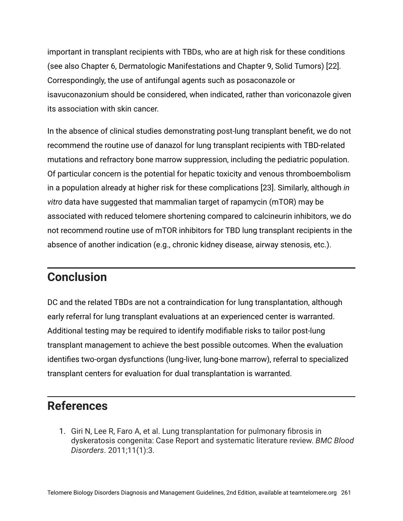important in transplant recipients with TBDs, who are at high risk for these conditions (see also Chapter 6, Dermatologic Manifestations and Chapter 9, Solid Tumors) [22]. Correspondingly, the use of antifungal agents such as posaconazole or isavuconazonium should be considered, when indicated, rather than voriconazole given its association with skin cancer.

In the absence of clinical studies demonstrating post-lung transplant benefit, we do not recommend the routine use of danazol for lung transplant recipients with TBD-related mutations and refractory bone marrow suppression, including the pediatric population. Of particular concern is the potential for hepatic toxicity and venous thromboembolism in a population already at higher risk for these complications [23]. Similarly, although *in vitro* data have suggested that mammalian target of rapamycin (mTOR) may be associated with reduced telomere shortening compared to calcineurin inhibitors, we do not recommend routine use of mTOR inhibitors for TBD lung transplant recipients in the absence of another indication (e.g., chronic kidney disease, airway stenosis, etc.).

#### **Conclusion**

DC and the related TBDs are not a contraindication for lung transplantation, although early referral for lung transplant evaluations at an experienced center is warranted. Additional testing may be required to identify modifiable risks to tailor post-lung transplant management to achieve the best possible outcomes. When the evaluation identifies two-organ dysfunctions (lung-liver, lung-bone marrow), referral to specialized transplant centers for evaluation for dual transplantation is warranted.

#### **References**

1. Giri N, Lee R, Faro A, et al. Lung transplantation for pulmonary fibrosis in dyskeratosis congenita: Case Report and systematic literature review. *BMC Blood Disorders*. 2011;11(1):3.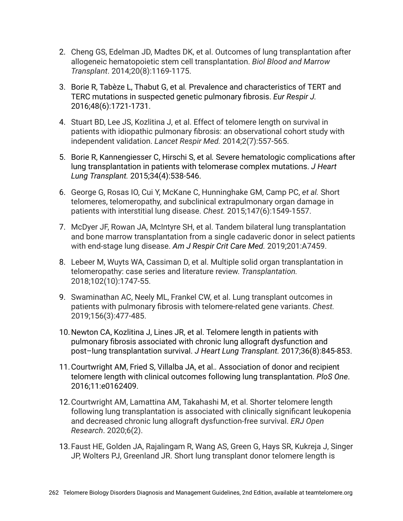- 2. Cheng GS, Edelman JD, Madtes DK, et al. Outcomes of lung transplantation after allogeneic hematopoietic stem cell transplantation. *Biol Blood and Marrow Transplant*. 2014;20(8):1169-1175.
- 3. Borie R, Tabèze L, Thabut G, et al*.* Prevalence and characteristics of TERT and TERC mutations in suspected genetic pulmonary fibrosis. *Eur Respir J.* 2016;48(6):1721-1731.
- 4. Stuart BD, Lee JS, Kozlitina J, et al. Effect of telomere length on survival in patients with idiopathic pulmonary fibrosis: an observational cohort study with independent validation. *Lancet Respir Med.* 2014;2(7):557-565.
- 5. Borie R, Kannengiesser C, Hirschi S, et al*.* Severe hematologic complications after lung transplantation in patients with telomerase complex mutations. *J Heart Lung Transplant.* 2015;34(4):538-546.
- 6. George G, Rosas IO, Cui Y, McKane C, Hunninghake GM, Camp PC, *et al.* Short telomeres, telomeropathy, and subclinical extrapulmonary organ damage in patients with interstitial lung disease. *Chest.* 2015;147(6):1549-1557.
- 7. McDyer JF, Rowan JA, McIntyre SH, et al. Tandem bilateral lung transplantation and bone marrow transplantation from a single cadaveric donor in select patients with end-stage lung disease. *Am J Respir Crit Care Med.* 2019;201:A7459.
- 8. Lebeer M, Wuyts WA, Cassiman D, et al. Multiple solid organ transplantation in telomeropathy: case series and literature review. *Transplantation.* 2018;102(10):1747-55.
- 9. Swaminathan AC, Neely ML, Frankel CW, et al. Lung transplant outcomes in patients with pulmonary fibrosis with telomere-related gene variants. *Chest.* 2019;156(3):477-485.
- 10.Newton CA, Kozlitina J, Lines JR, et al. Telomere length in patients with pulmonary fibrosis associated with chronic lung allograft dysfunction and post–lung transplantation survival. *J Heart Lung Transplant.* 2017;36(8):845-853.
- 11.Courtwright AM, Fried S, Villalba JA, et al.*.* Association of donor and recipient telomere length with clinical outcomes following lung transplantation. *PloS One*. 2016;11:e0162409.
- 12.Courtwright AM, Lamattina AM, Takahashi M, et al. Shorter telomere length following lung transplantation is associated with clinically significant leukopenia and decreased chronic lung allograft dysfunction-free survival. *ERJ Open Research*. 2020;6(2).
- 13.Faust HE, Golden JA, Rajalingam R, Wang AS, Green G, Hays SR, Kukreja J, Singer JP, Wolters PJ, Greenland JR. Short lung transplant donor telomere length is